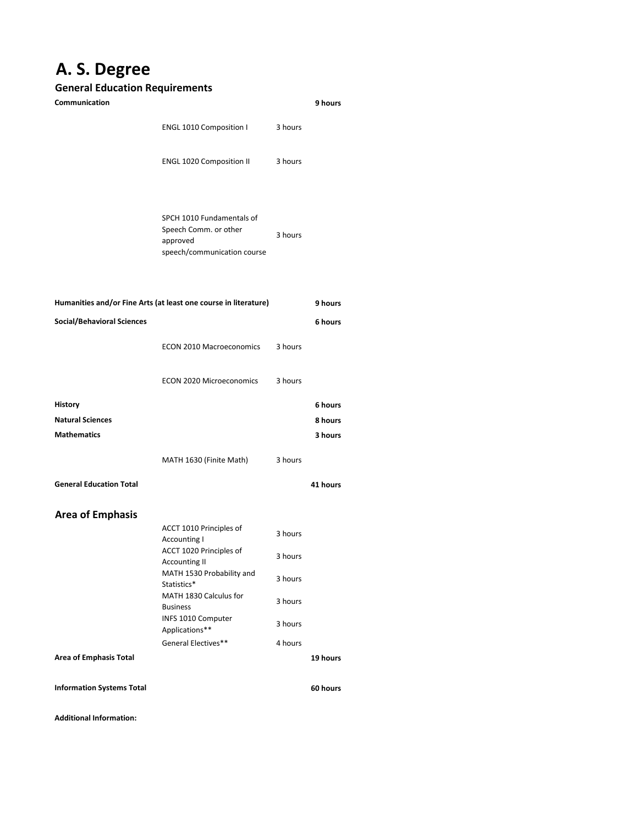## **A. S. Degree**

## **General Education Requirements**

| Communication                                                   |                                                                                               |         | 9 hours  |
|-----------------------------------------------------------------|-----------------------------------------------------------------------------------------------|---------|----------|
|                                                                 | <b>ENGL 1010 Composition I</b>                                                                | 3 hours |          |
|                                                                 | <b>ENGL 1020 Composition II</b>                                                               | 3 hours |          |
|                                                                 | SPCH 1010 Fundamentals of<br>Speech Comm. or other<br>approved<br>speech/communication course | 3 hours |          |
| Humanities and/or Fine Arts (at least one course in literature) |                                                                                               |         | 9 hours  |
| <b>Social/Behavioral Sciences</b>                               |                                                                                               |         | 6 hours  |
|                                                                 | <b>ECON 2010 Macroeconomics</b>                                                               | 3 hours |          |
|                                                                 | <b>ECON 2020 Microeconomics</b>                                                               | 3 hours |          |
| <b>History</b>                                                  |                                                                                               |         | 6 hours  |
| <b>Natural Sciences</b>                                         |                                                                                               |         | 8 hours  |
| <b>Mathematics</b>                                              |                                                                                               |         | 3 hours  |
|                                                                 | MATH 1630 (Finite Math)                                                                       | 3 hours |          |
| <b>General Education Total</b>                                  |                                                                                               |         | 41 hours |
| <b>Area of Emphasis</b>                                         |                                                                                               |         |          |
|                                                                 | ACCT 1010 Principles of<br><b>Accounting I</b>                                                | 3 hours |          |
|                                                                 | ACCT 1020 Principles of<br><b>Accounting II</b>                                               | 3 hours |          |
|                                                                 | MATH 1530 Probability and<br>Statistics*                                                      | 3 hours |          |
|                                                                 | MATH 1830 Calculus for<br><b>Business</b>                                                     | 3 hours |          |
|                                                                 | INFS 1010 Computer<br>Applications**                                                          | 3 hours |          |
|                                                                 | General Electives**                                                                           | 4 hours |          |
| <b>Area of Emphasis Total</b>                                   |                                                                                               |         | 19 hours |
| <b>Information Systems Total</b>                                |                                                                                               |         | 60 hours |

**Additional Information:**